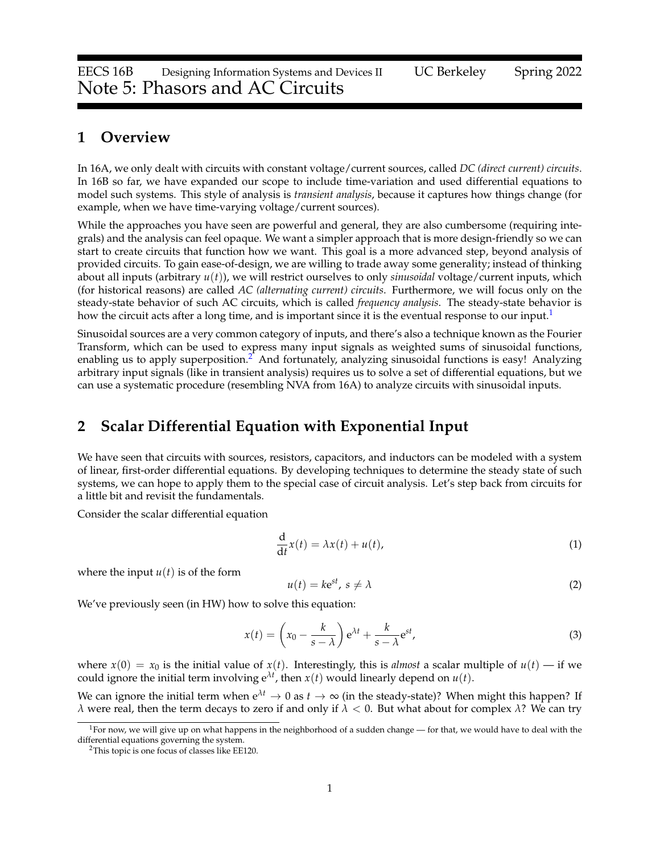## **1 Overview**

In 16A, we only dealt with circuits with constant voltage/current sources, called *DC (direct current) circuits*. In 16B so far, we have expanded our scope to include time-variation and used differential equations to model such systems. This style of analysis is *transient analysis*, because it captures how things change (for example, when we have time-varying voltage/current sources).

While the approaches you have seen are powerful and general, they are also cumbersome (requiring integrals) and the analysis can feel opaque. We want a simpler approach that is more design-friendly so we can start to create circuits that function how we want. This goal is a more advanced step, beyond analysis of provided circuits. To gain ease-of-design, we are willing to trade away some generality; instead of thinking about all inputs (arbitrary *u*(*t*)), we will restrict ourselves to only *sinusoidal* voltage/current inputs, which (for historical reasons) are called *AC (alternating current) circuits*. Furthermore, we will focus only on the steady-state behavior of such AC circuits, which is called *frequency analysis*. The steady-state behavior is how the circuit acts after a long time, and is important since it is the eventual response to our input.<sup>[1](#page-0-0)</sup>

Sinusoidal sources are a very common category of inputs, and there's also a technique known as the Fourier Transform, which can be used to express many input signals as weighted sums of sinusoidal functions, enabling us to apply superposition.[2](#page-0-1) And fortunately, analyzing sinusoidal functions is easy! Analyzing arbitrary input signals (like in transient analysis) requires us to solve a set of differential equations, but we can use a systematic procedure (resembling NVA from 16A) to analyze circuits with sinusoidal inputs.

# <span id="page-0-2"></span>**2 Scalar Differential Equation with Exponential Input**

We have seen that circuits with sources, resistors, capacitors, and inductors can be modeled with a system of linear, first-order differential equations. By developing techniques to determine the steady state of such systems, we can hope to apply them to the special case of circuit analysis. Let's step back from circuits for a little bit and revisit the fundamentals.

Consider the scalar differential equation

$$
\frac{\mathrm{d}}{\mathrm{d}t}x(t) = \lambda x(t) + u(t),\tag{1}
$$

where the input  $u(t)$  is of the form

$$
u(t) = k e^{st}, \ s \neq \lambda \tag{2}
$$

We've previously seen (in HW) how to solve this equation:

$$
x(t) = \left(x_0 - \frac{k}{s - \lambda}\right) e^{\lambda t} + \frac{k}{s - \lambda} e^{st},
$$
\n(3)

where  $x(0) = x_0$  is the initial value of  $x(t)$ . Interestingly, this is *almost* a scalar multiple of  $u(t)$  — if we could ignore the initial term involving  $e^{\lambda t}$ , then  $x(t)$  would linearly depend on  $u(t)$ .

We can ignore the initial term when  $e^{\lambda t} \to 0$  as  $t \to \infty$  (in the steady-state)? When might this happen? If *λ* were real, then the term decays to zero if and only if *λ* < 0. But what about for complex *λ*? We can try

<span id="page-0-0"></span><sup>&</sup>lt;sup>1</sup>For now, we will give up on what happens in the neighborhood of a sudden change — for that, we would have to deal with the differential equations governing the system.

<span id="page-0-1"></span><sup>&</sup>lt;sup>2</sup>This topic is one focus of classes like EE120.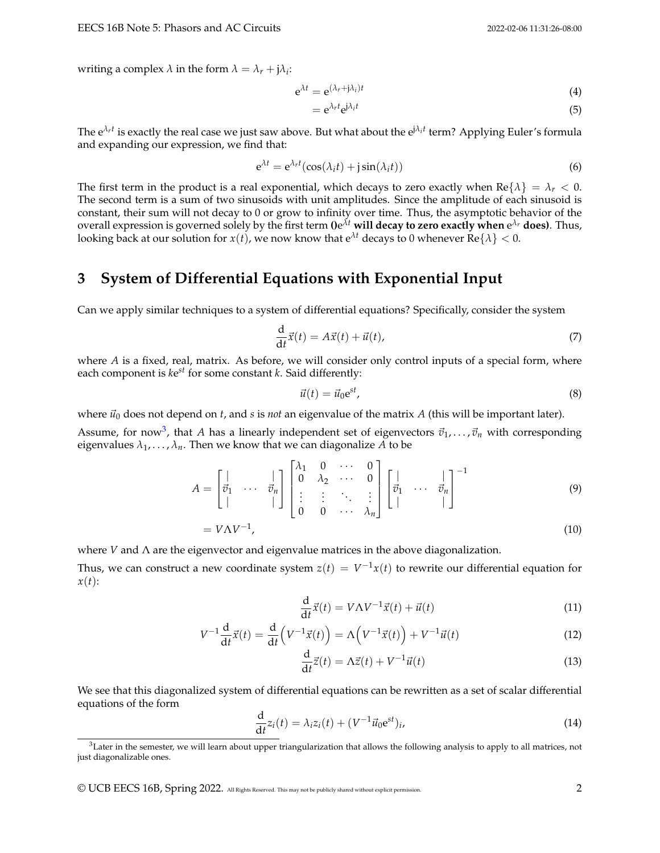writing a complex  $\lambda$  in the form  $\lambda = \lambda_r + j\lambda_i$ :

$$
e^{\lambda t} = e^{(\lambda_r + j\lambda_i)t}
$$
 (4)

$$
= e^{\lambda_r t} e^{j\lambda_i t} \tag{5}
$$

The e*λr<sup>t</sup>* is exactly the real case we just saw above. But what about the ej*λ<sup>i</sup> t* term? Applying Euler's formula and expanding our expression, we find that:

$$
e^{\lambda t} = e^{\lambda_r t} (\cos(\lambda_i t) + j \sin(\lambda_i t))
$$
\n(6)

The first term in the product is a real exponential, which decays to zero exactly when  $\text{Re}\{\lambda\} = \lambda_r < 0$ . The second term is a sum of two sinusoids with unit amplitudes. Since the amplitude of each sinusoid is constant, their sum will not decay to 0 or grow to infinity over time. Thus, the asymptotic behavior of the overall expression is governed solely by the first term **()**e *<sup>λ</sup><sup>t</sup>* **will decay to zero exactly when** e *<sup>λ</sup><sup>r</sup>* **does)**. Thus, looking back at our solution for  $x(t)$ , we now know that  $e^{\lambda t}$  decays to 0 whenever  $Re\{\lambda\} < 0$ .

## <span id="page-1-2"></span>**3 System of Differential Equations with Exponential Input**

Can we apply similar techniques to a system of differential equations? Specifically, consider the system

<span id="page-1-1"></span>
$$
\frac{\mathrm{d}}{\mathrm{d}t}\vec{x}(t) = A\vec{x}(t) + \vec{u}(t),\tag{7}
$$

where *A* is a fixed, real, matrix. As before, we will consider only control inputs of a special form, where each component is *k*e *st* for some constant *k*. Said differently:

$$
\vec{u}(t) = \vec{u}_0 e^{st},\tag{8}
$$

where  $\vec{u}_0$  does not depend on *t*, and *s* is *not* an eigenvalue of the matrix *A* (this will be important later).

Assume, for now<sup>[3](#page-1-0)</sup>, that *A* has a linearly independent set of eigenvectors  $\vec{v}_1, \ldots, \vec{v}_n$  with corresponding eigenvalues  $\lambda_1, \ldots, \lambda_n$ . Then we know that we can diagonalize A to be

$$
A = \begin{bmatrix} | & & | \\ \vec{v}_1 & \cdots & \vec{v}_n \\ | & & | \end{bmatrix} \begin{bmatrix} \lambda_1 & 0 & \cdots & 0 \\ 0 & \lambda_2 & \cdots & 0 \\ \vdots & \vdots & \ddots & \vdots \\ 0 & 0 & \cdots & \lambda_n \end{bmatrix} \begin{bmatrix} | & & | \\ \vec{v}_1 & \cdots & \vec{v}_n \\ | & & | \end{bmatrix}^{-1}
$$
(9)

$$
= V\Lambda V^{-1},\tag{10}
$$

where *V* and Λ are the eigenvector and eigenvalue matrices in the above diagonalization.

Thus, we can construct a new coordinate system  $z(t) = V^{-1}x(t)$  to rewrite our differential equation for *x*(*t*):

$$
\frac{\mathrm{d}}{\mathrm{d}t}\vec{x}(t) = V\Lambda V^{-1}\vec{x}(t) + \vec{u}(t)
$$
\n(11)

$$
V^{-1}\frac{\mathrm{d}}{\mathrm{d}t}\vec{x}(t) = \frac{\mathrm{d}}{\mathrm{d}t}\left(V^{-1}\vec{x}(t)\right) = \Lambda\left(V^{-1}\vec{x}(t)\right) + V^{-1}\vec{u}(t) \tag{12}
$$

$$
\frac{\mathrm{d}}{\mathrm{d}t}\vec{z}(t) = \Lambda \vec{z}(t) + V^{-1}\vec{u}(t) \tag{13}
$$

We see that this diagonalized system of differential equations can be rewritten as a set of scalar differential equations of the form

$$
\frac{\mathrm{d}}{\mathrm{d}t}z_i(t) = \lambda_i z_i(t) + (V^{-1}\vec{u}_0 \mathrm{e}^{st})_i,\tag{14}
$$

© UCB EECS 16B, Spring 2022. All Rights Reserved. This may not be publicly shared without explicit permission. 2

<span id="page-1-0"></span> $3$ Later in the semester, we will learn about upper triangularization that allows the following analysis to apply to all matrices, not just diagonalizable ones.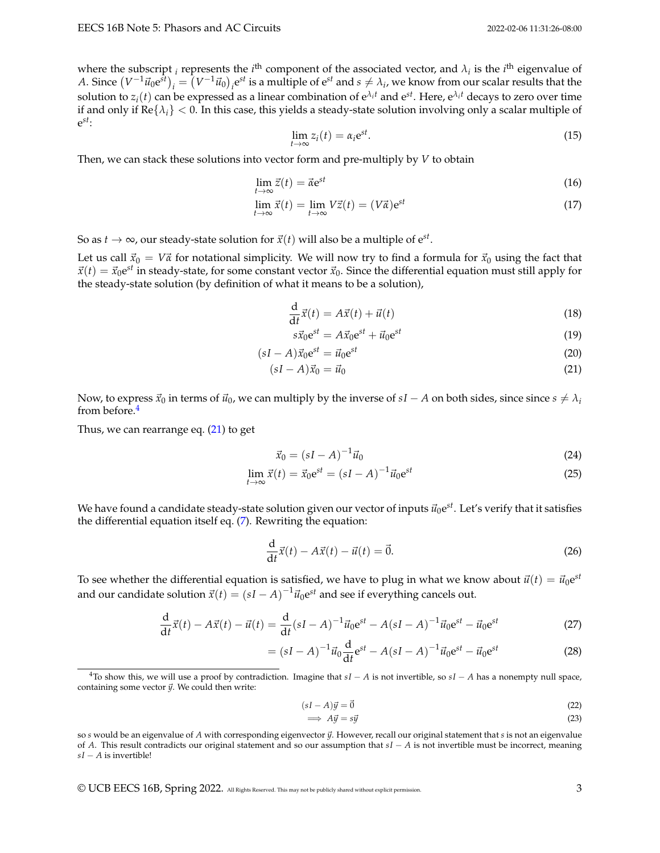where the subscript *i* represents the *i*<sup>th</sup> component of the associated vector, and  $\lambda_i$  is the *i*<sup>th</sup> eigenvalue of *A*. Since  $(V^{-1}\vec{u}_0e^{st})_i = (V^{-1}\vec{u}_0)_i e^{st}$  is a multiple of  $e^{st}$  and  $s \neq \lambda_i$ , we know from our scalar results that the solution to  $z_i(t)$  can be expressed as a linear combination of  ${\rm e}^{\lambda_i t}$  and  ${\rm e}^{st}$ . Here,  ${\rm e}^{\lambda_i t}$  decays to zero over time if and only if  $\text{Re}\{\lambda_i\} < 0$ . In this case, this yields a steady-state solution involving only a scalar multiple of e *st*:

$$
\lim_{t \to \infty} z_i(t) = \alpha_i e^{st}.
$$
\n(15)

Then, we can stack these solutions into vector form and pre-multiply by *V* to obtain

$$
\lim_{t \to \infty} \vec{z}(t) = \vec{\alpha} e^{st} \tag{16}
$$

$$
\lim_{t \to \infty} \vec{x}(t) = \lim_{t \to \infty} V\vec{z}(t) = (V\vec{\alpha})e^{st}
$$
\n(17)

So as  $t \to \infty$ , our steady-state solution for  $\vec{x}(t)$  will also be a multiple of  $e^{st}$ .

Let us call  $\vec{x}_0 = V\vec{\alpha}$  for notational simplicity. We will now try to find a formula for  $\vec{x}_0$  using the fact that  $\vec{x}(t) = \vec{x}_0 e^{st}$  in steady-state, for some constant vector  $\vec{x}_0$ . Since the differential equation must still apply for the steady-state solution (by definition of what it means to be a solution),

$$
\frac{\mathrm{d}}{\mathrm{d}t}\vec{x}(t) = A\vec{x}(t) + \vec{u}(t)
$$
\n(18)

<span id="page-2-1"></span>
$$
s\vec{x}_0e^{st} = A\vec{x}_0e^{st} + \vec{u}_0e^{st} \tag{19}
$$

$$
(sI - A)\vec{x}_0 e^{st} = \vec{u}_0 e^{st} \tag{20}
$$

$$
(sI - A)\vec{x}_0 = \vec{u}_0 \tag{21}
$$

Now, to express  $\vec{x}_0$  in terms of  $\vec{u}_0$ , we can multiply by the inverse of  $sI - A$  on both sides, since since  $s \neq \lambda_i$ from before.[4](#page-2-0)

Thus, we can rearrange eq.  $(21)$  to get

$$
\vec{x}_0 = (sI - A)^{-1}\vec{u}_0
$$
\n(24)

$$
\lim_{t \to \infty} \vec{x}(t) = \vec{x}_0 e^{st} = (sI - A)^{-1} \vec{u}_0 e^{st}
$$
\n(25)

We have found a candidate steady-state solution given our vector of inputs  $\vec{u}_0$ e<sup>st</sup>. Let's verify that it satisfies the differential equation itself eq. [\(7\)](#page-1-1). Rewriting the equation:

$$
\frac{\mathrm{d}}{\mathrm{d}t}\vec{x}(t) - A\vec{x}(t) - \vec{u}(t) = \vec{0}.\tag{26}
$$

To see whether the differential equation is satisfied, we have to plug in what we know about  $\vec{u}(t) = \vec{u}_0 e^{st}$ and our candidate solution  $\vec{x}(t) = (sI - A)^{-1} \vec{u}_0 e^{st}$  and see if everything cancels out.

$$
\frac{d}{dt}\vec{x}(t) - A\vec{x}(t) - \vec{u}(t) = \frac{d}{dt}(sI - A)^{-1}\vec{u}_0e^{st} - A(sI - A)^{-1}\vec{u}_0e^{st} - \vec{u}_0e^{st}
$$
(27)

$$
= (sI - A)^{-1} \vec{u}_0 \frac{d}{dt} e^{st} - A(sI - A)^{-1} \vec{u}_0 e^{st} - \vec{u}_0 e^{st}
$$
 (28)

$$
(sI - A)\vec{y} = \vec{0}
$$
\n<sup>(22)</sup>

$$
\implies A\vec{y} = s\vec{y} \tag{23}
$$

© UCB EECS 16B, Spring 2022. All Rights Reserved. This may not be publicly shared without explicit permission. 3

<span id="page-2-0"></span> $^{4}$ To show this, we will use a proof by contradiction. Imagine that  $sI - A$  is not invertible, so  $sI - A$  has a nonempty null space, containing some vector  $\vec{y}$ . We could then write:

so *s* would be an eigenvalue of *A* with corresponding eigenvector  $\vec{y}$ . However, recall our original statement that *s* is not an eigenvalue of *A*. This result contradicts our original statement and so our assumption that *sI* − *A* is not invertible must be incorrect, meaning *sI* − *A* is invertible!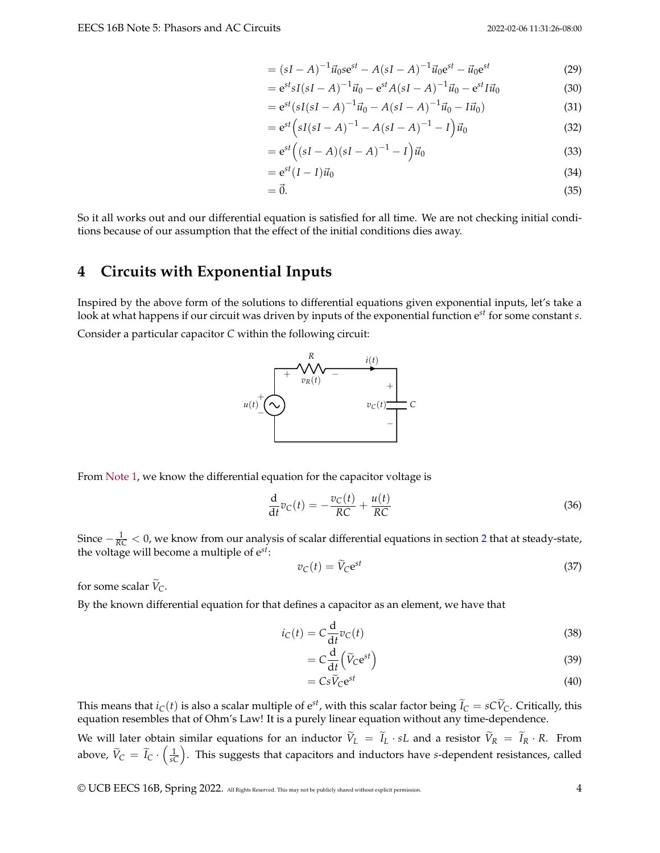$$
= (sI - A)^{-1} \vec{u}_0 s e^{st} - A(sI - A)^{-1} \vec{u}_0 e^{st} - \vec{u}_0 e^{st}
$$
 (29)

$$
= e^{st} s I (sI - A)^{-1} \vec{u}_0 - e^{st} A (sI - A)^{-1} \vec{u}_0 - e^{st} I \vec{u}_0
$$
\n(30)

$$
= e^{st}(sI(sI - A)^{-1}\vec{u}_0 - A(sI - A)^{-1}\vec{u}_0 - I\vec{u}_0)
$$
\n(31)

$$
= e^{st} \left( sI(sI - A)^{-1} - A(sI - A)^{-1} - I \right) \vec{u}_0
$$
\n(32)

$$
= e^{st} ((sI - A)(sI - A)^{-1} - I) \vec{u}_0
$$
\n(33)

$$
= e^{st}(I - I)\vec{u}_0 \tag{34}
$$

$$
=\vec{0}.\tag{35}
$$

So it all works out and our differential equation is satisfied for all time. We are not checking initial conditions because of our assumption that the effect of the initial conditions dies away.

# <span id="page-3-0"></span>**4 Circuits with Exponential Inputs**

Inspired by the above form of the solutions to differential equations given exponential inputs, let's take a look at what happens if our circuit was driven by inputs of the exponential function e*st* for some constant *s*.

Consider a particular capacitor *C* within the following circuit:



From [Note 1,](https://eecs16b.org/notes/sp22/note01.pdf) we know the differential equation for the capacitor voltage is

$$
\frac{\mathrm{d}}{\mathrm{d}t}v_C(t) = -\frac{v_C(t)}{RC} + \frac{u(t)}{RC}
$$
\n(36)

Since − <sup>1</sup> *RC* < 0, we know from our analysis of scalar differential equations in section [2](#page-0-2) that at steady-state, the voltage will become a multiple of e*st*:

$$
v_C(t) = \widetilde{V}_C e^{st} \tag{37}
$$

for some scalar  $\widetilde{V}_C$ .

By the known differential equation for that defines a capacitor as an element, we have that

$$
i_C(t) = C \frac{d}{dt} v_C(t)
$$
\n(38)

$$
=C\frac{\mathrm{d}}{\mathrm{d}t}\left(\widetilde{V}_{\mathrm{C}}\mathrm{e}^{st}\right) \tag{39}
$$

$$
=Cs\widetilde{V}_Ce^{st}
$$
\n(40)

This means that  $i_C(t)$  is also a scalar multiple of  $e^{st}$ , with this scalar factor being  $\tilde{I}_C = sC\tilde{V}_C$ . Critically, this equation resembles that of Ohm's Law! It is a purely linear equation without any time-dependence.

We will later obtain similar equations for an inductor  $\tilde{V}_L = \tilde{I}_L \cdot sL$  and a resistor  $\tilde{V}_R = \tilde{I}_R \cdot R$ . From above,  $\widetilde{V}_C = \widetilde{I}_C \cdot \left(\frac{1}{sC}\right)$ . This suggests that capacitors and inductors have *s*-dependent resistances, called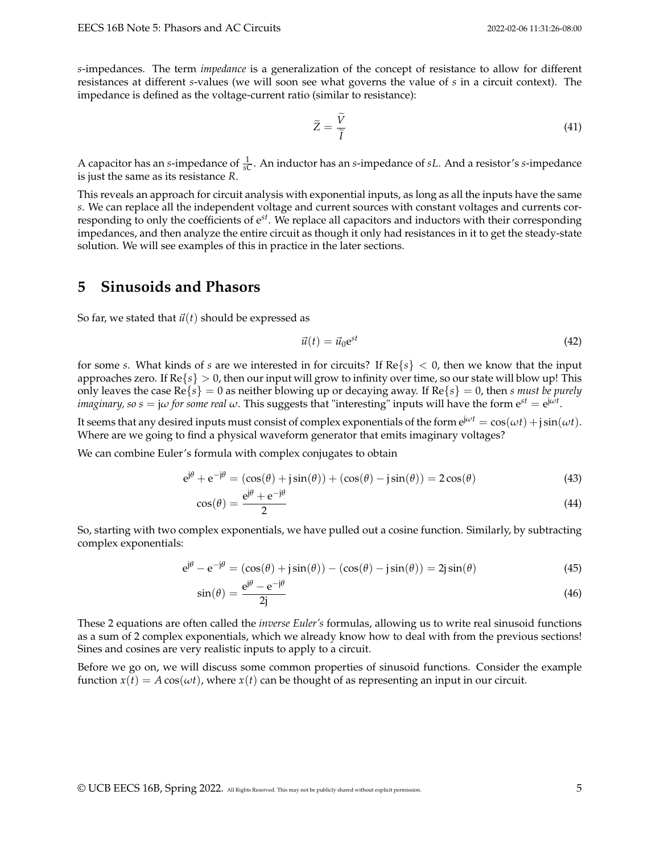*s*-impedances. The term *impedance* is a generalization of the concept of resistance to allow for different resistances at different *s*-values (we will soon see what governs the value of *s* in a circuit context). The impedance is defined as the voltage-current ratio (similar to resistance):

$$
\widetilde{Z} = \frac{\widetilde{V}}{\widetilde{I}} \tag{41}
$$

A capacitor has an *s*-impedance of  $\frac{1}{sC}$ . An inductor has an *s*-impedance of *sL*. And a resistor's *s*-impedance is just the same as its resistance *R*.

This reveals an approach for circuit analysis with exponential inputs, as long as all the inputs have the same *s*. We can replace all the independent voltage and current sources with constant voltages and currents corresponding to only the coefficients of e*st*. We replace all capacitors and inductors with their corresponding impedances, and then analyze the entire circuit as though it only had resistances in it to get the steady-state solution. We will see examples of this in practice in the later sections.

## **5 Sinusoids and Phasors**

So far, we stated that  $\vec{u}(t)$  should be expressed as

$$
\vec{u}(t) = \vec{u}_0 e^{st} \tag{42}
$$

for some *s*. What kinds of *s* are we interested in for circuits? If Re{*s*} < 0, then we know that the input approaches zero. If  $\text{Re}\{s\} > 0$ , then our input will grow to infinity over time, so our state will blow up! This only leaves the case  $\text{Re}\{s\} = 0$  as neither blowing up or decaying away. If  $\text{Re}\{s\} = 0$ , then *s must be purely imaginary, so s* = j $\omega$  *for some real*  $\omega$ *.* This suggests that "interesting" inputs will have the form  $e^{st} = e^{j\omega t}$ .

It seems that any desired inputs must consist of complex exponentials of the form  $e^{j\omega t} = \cos(\omega t) + j\sin(\omega t)$ . Where are we going to find a physical waveform generator that emits imaginary voltages?

We can combine Euler's formula with complex conjugates to obtain

$$
e^{j\theta} + e^{-j\theta} = (\cos(\theta) + j\sin(\theta)) + (\cos(\theta) - j\sin(\theta)) = 2\cos(\theta)
$$
\n(43)

$$
\cos(\theta) = \frac{e^{j\theta} + e^{-j\theta}}{2} \tag{44}
$$

So, starting with two complex exponentials, we have pulled out a cosine function. Similarly, by subtracting complex exponentials:

$$
e^{j\theta} - e^{-j\theta} = (\cos(\theta) + j\sin(\theta)) - (\cos(\theta) - j\sin(\theta)) = 2j\sin(\theta)
$$
\n(45)

$$
\sin(\theta) = \frac{e^{j\theta} - e^{-j\theta}}{2j} \tag{46}
$$

These 2 equations are often called the *inverse Euler's* formulas, allowing us to write real sinusoid functions as a sum of 2 complex exponentials, which we already know how to deal with from the previous sections! Sines and cosines are very realistic inputs to apply to a circuit.

Before we go on, we will discuss some common properties of sinusoid functions. Consider the example function  $x(t) = A \cos(\omega t)$ , where  $x(t)$  can be thought of as representing an input in our circuit.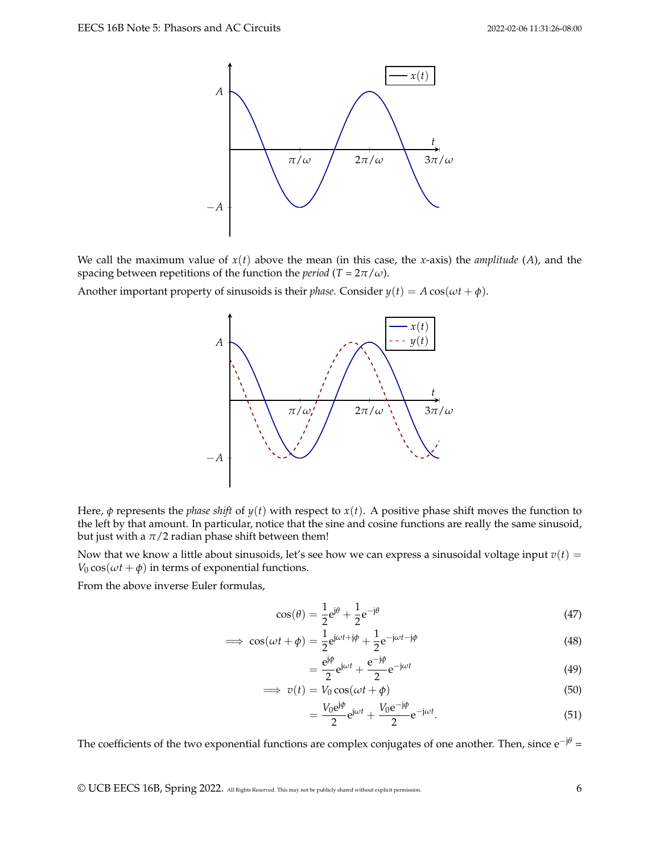

We call the maximum value of  $x(t)$  above the mean (in this case, the *x*-axis) the *amplitude* (*A*), and the spacing between repetitions of the function the *period* ( $T = 2\pi/\omega$ ).

Another important property of sinusoids is their *phase*. Consider  $y(t) = A \cos(\omega t + \phi)$ .



Here,  $\phi$  represents the *phase shift* of  $y(t)$  with respect to  $x(t)$ . A positive phase shift moves the function to the left by that amount. In particular, notice that the sine and cosine functions are really the same sinusoid, but just with a  $\pi/2$  radian phase shift between them!

Now that we know a little about sinusoids, let's see how we can express a sinusoidal voltage input  $v(t)$  = *V*<sup>0</sup> cos( $\omega t + \phi$ ) in terms of exponential functions.

From the above inverse Euler formulas,

$$
\cos(\theta) = \frac{1}{2}e^{j\theta} + \frac{1}{2}e^{-j\theta}
$$
\n(47)

$$
\implies \cos(\omega t + \phi) = \frac{1}{2} e^{j\omega t + j\phi} + \frac{1}{2} e^{-j\omega t - j\phi} \tag{48}
$$

$$
=\frac{\mathrm{e}^{\mathrm{j}\phi}}{2}\mathrm{e}^{\mathrm{j}\omega t}+\frac{\mathrm{e}^{-\mathrm{j}\phi}}{2}\mathrm{e}^{-\mathrm{j}\omega t}\tag{49}
$$

$$
\implies v(t) = V_0 \cos(\omega t + \phi) \tag{50}
$$

$$
=\frac{V_0 \mathrm{e}^{\mathrm{j}\phi}}{2} \mathrm{e}^{\mathrm{j}\omega t} + \frac{V_0 \mathrm{e}^{-\mathrm{j}\phi}}{2} \mathrm{e}^{-\mathrm{j}\omega t}.\tag{51}
$$

The coefficients of the two exponential functions are complex conjugates of one another. Then, since e<sup>−jθ</sup> =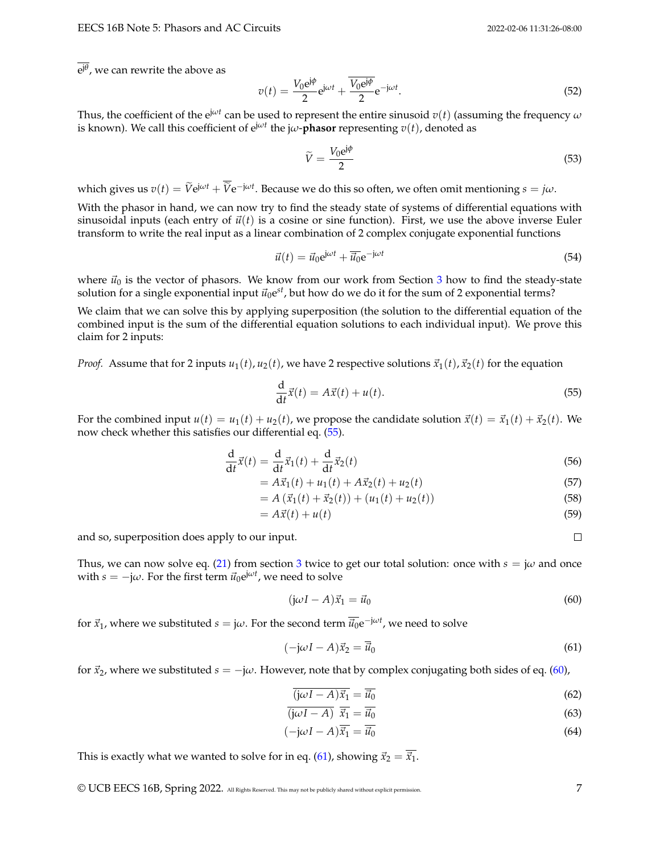e j*θ* , we can rewrite the above as

$$
v(t) = \frac{V_0 e^{j\phi}}{2} e^{j\omega t} + \frac{\overline{V_0 e^{j\phi}}}{2} e^{-j\omega t}.
$$
\n(52)

Thus, the coefficient of the e<sup>j $\omega t$ </sup> can be used to represent the entire sinusoid  $v(t)$  (assuming the frequency  $\omega$ is known). We call this coefficient of  $e^{j\omega t}$  the j $\omega$ - $\overline{\textbf{p}}$ hasor representing  $v(t)$ , denoted as

$$
\widetilde{V} = \frac{V_0 e^{j\phi}}{2} \tag{53}
$$

which gives us  $v(t) = \tilde{V}e^{j\omega t} + \tilde{V}e^{-j\omega t}$ . Because we do this so often, we often omit mentioning  $s = j\omega$ .

With the phasor in hand, we can now try to find the steady state of systems of differential equations with sinusoidal inputs (each entry of  $\vec{u}(t)$  is a cosine or sine function). First, we use the above inverse Euler transform to write the real input as a linear combination of 2 complex conjugate exponential functions

$$
\vec{u}(t) = \vec{u}_0 e^{j\omega t} + \overline{\vec{u}_0} e^{-j\omega t}
$$
\n(54)

where  $\vec{u}_0$  is the vector of phasors. We know from our work from Section [3](#page-1-2) how to find the steady-state solution for a single exponential input  $\vec{u}_0e^{st}$ , but how do we do it for the sum of 2 exponential terms?

We claim that we can solve this by applying superposition (the solution to the differential equation of the combined input is the sum of the differential equation solutions to each individual input). We prove this claim for 2 inputs:

*Proof.* Assume that for 2 inputs  $u_1(t)$ ,  $u_2(t)$ , we have 2 respective solutions  $\vec{x}_1(t)$ ,  $\vec{x}_2(t)$  for the equation

<span id="page-6-0"></span>
$$
\frac{\mathrm{d}}{\mathrm{d}t}\vec{x}(t) = A\vec{x}(t) + u(t). \tag{55}
$$

For the combined input  $u(t) = u_1(t) + u_2(t)$ , we propose the candidate solution  $\vec{x}(t) = \vec{x}_1(t) + \vec{x}_2(t)$ . We now check whether this satisfies our differential eq. [\(55\)](#page-6-0).

$$
\frac{\mathrm{d}}{\mathrm{d}t}\vec{x}(t) = \frac{\mathrm{d}}{\mathrm{d}t}\vec{x}_1(t) + \frac{\mathrm{d}}{\mathrm{d}t}\vec{x}_2(t)
$$
\n(56)

$$
= A\vec{x}_1(t) + u_1(t) + A\vec{x}_2(t) + u_2(t)
$$
\n(57)

$$
= A\left(\vec{x}_1(t) + \vec{x}_2(t)\right) + \left(u_1(t) + u_2(t)\right) \tag{58}
$$

$$
=A\vec{x}(t)+u(t) \tag{59}
$$

and so, superposition does apply to our input.

Thus, we can now solve eq. [\(21\)](#page-2-1) from section [3](#page-1-2) twice to get our total solution: once with  $s = j\omega$  and once with  $s = -j\omega$ . For the first term  $\vec{u}_0 e^{j\omega t}$ , we need to solve

<span id="page-6-1"></span>
$$
(j\omega I - A)\vec{x}_1 = \vec{u}_0 \tag{60}
$$

for  $\vec{x}_1$ , where we substituted  $s = j\omega$ . For the second term  $\overline{\vec{u}_0}e^{-j\omega t}$ , we need to solve

<span id="page-6-2"></span>
$$
(-j\omega I - A)\vec{x}_2 = \overline{\vec{u}}_0 \tag{61}
$$

for  $\vec{x}_2$ , where we substituted  $s = -j\omega$ . However, note that by complex conjugating both sides of eq. [\(60\)](#page-6-1),

$$
\overline{(\mathbf{j}\omega I - A)\vec{x}_1} = \overline{\vec{u}_0} \tag{62}
$$

$$
\overline{(\mathbf{j}\omega I - A)} \ \overline{\vec{x}_1} = \overline{\vec{u}_0} \tag{63}
$$

$$
(-j\omega I - A)\overline{\vec{x}_1} = \overline{\vec{u}_0}
$$
 (64)

This is exactly what we wanted to solve for in eq. [\(61\)](#page-6-2), showing  $\vec{x}_2 = \overline{\vec{x}_1}$ .

 $\Box$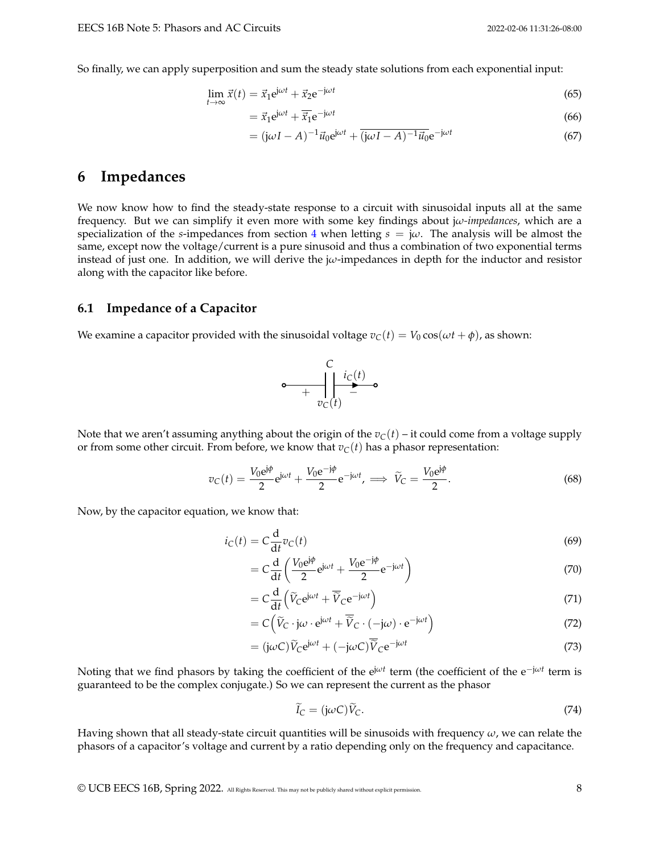So finally, we can apply superposition and sum the steady state solutions from each exponential input:

$$
\lim_{t \to \infty} \vec{x}(t) = \vec{x}_1 e^{j\omega t} + \vec{x}_2 e^{-j\omega t}
$$
\n(65)

$$
= \vec{x}_1 e^{j\omega t} + \overline{\vec{x}_1} e^{-j\omega t}
$$
\n(66)

$$
= (j\omega I - A)^{-1}\vec{u}_0 e^{j\omega t} + \overline{(j\omega I - A)^{-1}\vec{u}_0} e^{-j\omega t}
$$
\n(67)

# **6 Impedances**

We now know how to find the steady-state response to a circuit with sinusoidal inputs all at the same frequency. But we can simplify it even more with some key findings about j*ω-impedances*, which are a specialization of the *s*-impedances from section [4](#page-3-0) when letting  $s = j\omega$ . The analysis will be almost the same, except now the voltage/current is a pure sinusoid and thus a combination of two exponential terms instead of just one. In addition, we will derive the j*ω*-impedances in depth for the inductor and resistor along with the capacitor like before.

### **6.1 Impedance of a Capacitor**

We examine a capacitor provided with the sinusoidal voltage  $v_C(t) = V_0 \cos(\omega t + \phi)$ , as shown:



Note that we aren't assuming anything about the origin of the  $v<sub>C</sub>(t)$  – it could come from a voltage supply or from some other circuit. From before, we know that  $v_C(t)$  has a phasor representation:

$$
v_C(t) = \frac{V_0 e^{j\phi}}{2} e^{j\omega t} + \frac{V_0 e^{-j\phi}}{2} e^{-j\omega t}, \implies \widetilde{V}_C = \frac{V_0 e^{j\phi}}{2}.
$$
 (68)

Now, by the capacitor equation, we know that:

$$
i_C(t) = C \frac{d}{dt} v_C(t)
$$
\n(69)

$$
= C \frac{\mathrm{d}}{\mathrm{d}t} \left( \frac{V_0 e^{j\phi}}{2} e^{j\omega t} + \frac{V_0 e^{-j\phi}}{2} e^{-j\omega t} \right) \tag{70}
$$

$$
= C \frac{d}{dt} \left( \widetilde{V}_C e^{j\omega t} + \overline{\widetilde{V}}_C e^{-j\omega t} \right)
$$
\n(71)

$$
= C\left(\widetilde{V}_C \cdot j\omega \cdot e^{j\omega t} + \overline{\widetilde{V}}_C \cdot (-j\omega) \cdot e^{-j\omega t}\right)
$$
\n(72)

$$
= (j\omega C)\widetilde{V}_C e^{j\omega t} + (-j\omega C)\overline{\widetilde{V}}_C e^{-j\omega t}
$$
\n(73)

Noting that we find phasors by taking the coefficient of the ej*ω<sup>t</sup>* term (the coefficient of the e−j*ω<sup>t</sup>* term is guaranteed to be the complex conjugate.) So we can represent the current as the phasor

$$
\widetilde{I}_C = (j\omega C)\widetilde{V}_C. \tag{74}
$$

Having shown that all steady-state circuit quantities will be sinusoids with frequency *ω*, we can relate the phasors of a capacitor's voltage and current by a ratio depending only on the frequency and capacitance.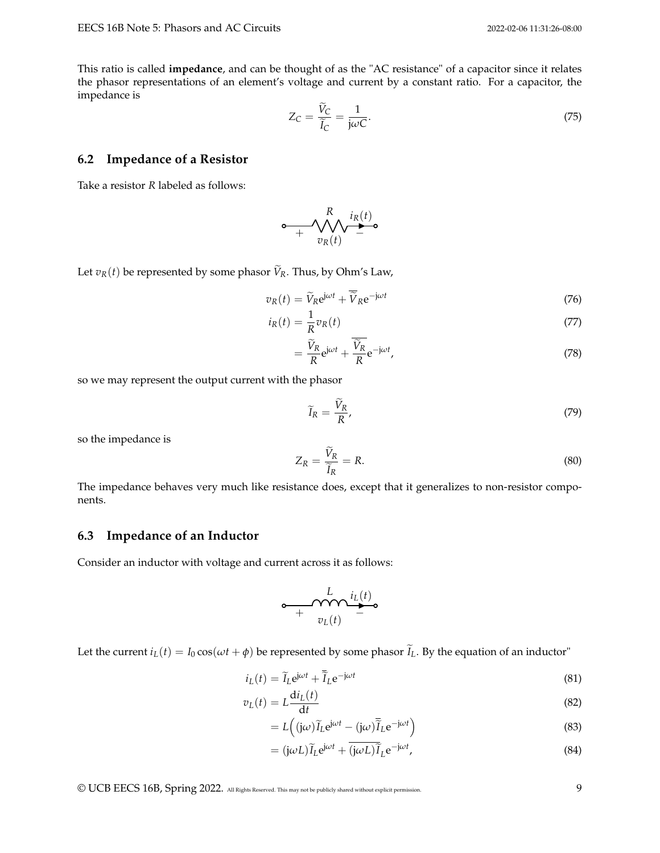This ratio is called **impedance**, and can be thought of as the "AC resistance" of a capacitor since it relates the phasor representations of an element's voltage and current by a constant ratio. For a capacitor, the impedance is

$$
Z_C = \frac{V_C}{\tilde{I}_C} = \frac{1}{j\omega C}.
$$
\n(75)

### **6.2 Impedance of a Resistor**

Take a resistor *R* labeled as follows:

$$
\circ \underbrace{\qquad \qquad }_{+\qquad \qquad \mathcal{V}_{R}(t)}^{R} \underbrace{\qquad \qquad }_{-\qquad \qquad }^{i_{R}(t)} \underbrace{\qquad \qquad }_{-\qquad \qquad }
$$

Let  $v_R(t)$  be represented by some phasor  $\widetilde{V}_R$ . Thus, by Ohm's Law,

$$
v_R(t) = \widetilde{V}_R e^{j\omega t} + \overline{\widetilde{V}}_R e^{-j\omega t}
$$
\n(76)

$$
i_R(t) = \frac{1}{R} v_R(t)
$$
\n<sup>(77)</sup>

$$
=\frac{\dot{V}_R}{R}e^{j\omega t} + \frac{\dot{V}_R}{R}e^{-j\omega t},\tag{78}
$$

so we may represent the output current with the phasor

$$
\widetilde{I}_R = \frac{\widetilde{V}_R}{R},\tag{79}
$$

so the impedance is

$$
Z_R = \frac{\tilde{V}_R}{\tilde{I}_R} = R. \tag{80}
$$

The impedance behaves very much like resistance does, except that it generalizes to non-resistor components.

### **6.3 Impedance of an Inductor**

Consider an inductor with voltage and current across it as follows:

$$
\circ\underset{+ \quad v_L(t)}{\underbrace{\qquad \qquad \quad \quad } L\quad \quad \quad \quad \quad \quad \quad \quad } \quad \underset{+ \quad v_L(t)}{\underbrace{\qquad \qquad \quad \quad \quad } L\quad \quad \quad \quad \quad \quad }
$$

Let the current  $i_L(t) = I_0 \cos(\omega t + \phi)$  be represented by some phasor  $\tilde{I}_L$ . By the equation of an inductor"

$$
i_L(t) = \widetilde{I}_L e^{j\omega t} + \overline{\widetilde{I}}_L e^{-j\omega t}
$$
\n(81)

$$
v_L(t) = L \frac{di_L(t)}{dt}
$$
\n(82)

$$
=L((j\omega)\widetilde{I}_L e^{j\omega t} - (j\omega)\overline{\widetilde{I}}_L e^{-j\omega t})
$$
\n(83)

$$
= (j\omega L)\widetilde{I}_L e^{j\omega t} + \overline{(j\omega L)}\widetilde{I}_L e^{-j\omega t}, \qquad (84)
$$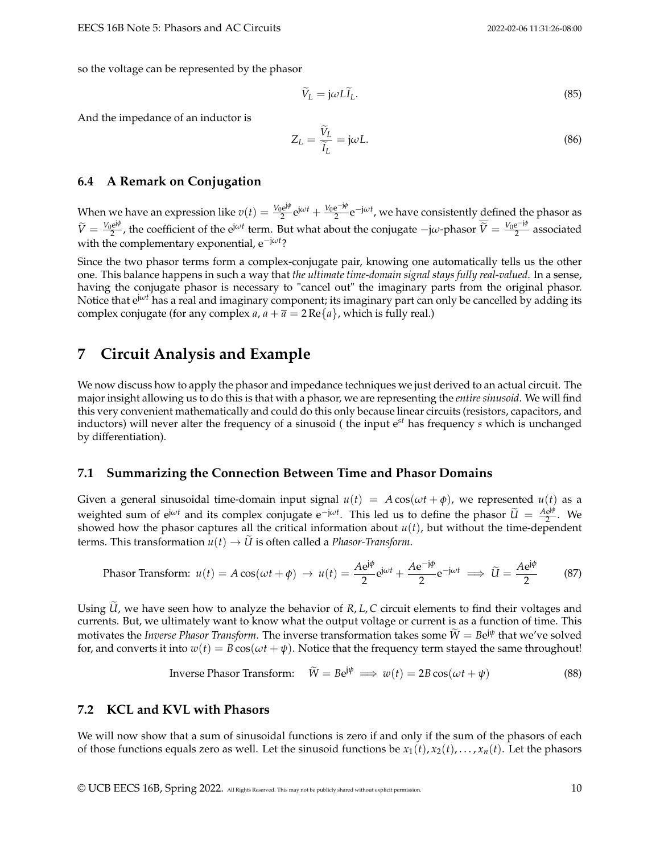so the voltage can be represented by the phasor

$$
\tilde{V}_L = j\omega L \tilde{I}_L. \tag{85}
$$

And the impedance of an inductor is

$$
Z_L = \frac{V_L}{\tilde{I}_L} = j\omega L. \tag{86}
$$

#### **6.4 A Remark on Conjugation**

When we have an expression like  $v(t) = \frac{V_0 e^{j\phi}}{2}$  $\frac{e^{j\phi}}{2}e^{j\omega t} + \frac{V_0e^{-j\phi}}{2}$  $\frac{e^{-j\varphi}}{2}e^{-j\omega t}$ , we have consistently defined the phasor as  $\widetilde{V} = \frac{V_0 e^{j\phi}}{2}$  $\frac{e^{j\phi}}{2}$ , the coefficient of the  $e^{j\omega t}$  term. But what about the conjugate  $-j\omega$ -phasor  $\overline{\widetilde{V}} = \frac{V_0 e^{-j\phi}}{2}$  $\frac{e^{-\lambda t}}{2}$  associated with the complementary exponential, e−j*ω<sup>t</sup>* ?

Since the two phasor terms form a complex-conjugate pair, knowing one automatically tells us the other one. This balance happens in such a way that *the ultimate time-domain signal stays fully real-valued*. In a sense, having the conjugate phasor is necessary to "cancel out" the imaginary parts from the original phasor. Notice that ej*ω<sup>t</sup>* has a real and imaginary component; its imaginary part can only be cancelled by adding its complex conjugate (for any complex *a*,  $a + \overline{a} = 2 \text{Re}\{a\}$ , which is fully real.)

## **7 Circuit Analysis and Example**

We now discuss how to apply the phasor and impedance techniques we just derived to an actual circuit. The major insight allowing us to do this is that with a phasor, we are representing the *entire sinusoid*. We will find this very convenient mathematically and could do this only because linear circuits (resistors, capacitors, and inductors) will never alter the frequency of a sinusoid ( the input e*st* has frequency *s* which is unchanged by differentiation).

### **7.1 Summarizing the Connection Between Time and Phasor Domains**

Given a general sinusoidal time-domain input signal  $u(t) = A \cos(\omega t + \phi)$ , we represented  $u(t)$  as a weighted sum of  $e^{j\omega t}$  and its complex conjugate  $e^{-j\omega t}$ . This led us to define the phasor  $\tilde{U} = \frac{Ae^{j\phi}}{2}$  $rac{e^{j\tau}}{2}$ . We showed how the phasor captures all the critical information about  $u(t)$ , but without the time-dependent terms. This transformation  $u(t) \rightarrow \tilde{U}$  is often called a *Phasor-Transform*.

$$
\text{Phasor Transform: } u(t) = A\cos(\omega t + \phi) \to u(t) = \frac{A\text{e}^{\text{j}\phi}}{2}\text{e}^{\text{j}\omega t} + \frac{A\text{e}^{-\text{j}\phi}}{2}\text{e}^{-\text{j}\omega t} \implies \widetilde{U} = \frac{A\text{e}^{\text{j}\phi}}{2} \tag{87}
$$

Using *U*, we have seen how to analyze the behavior of *R*, *L*, *C* circuit elements to find their voltages and currents. But, we ultimately want to know what the output voltage or current is as a function of time. This motivates the *Inverse Phasor Transform*. The inverse transformation takes some  $\widetilde{W} = Be^{j\psi}$  that we've solved for, and converts it into  $w(t) = B \cos(\omega t + \psi)$ . Notice that the frequency term stayed the same throughout!

Inverse Phasor Transform: 
$$
\tilde{W} = Be^{j\psi} \implies w(t) = 2B\cos(\omega t + \psi)
$$
 (88)

### **7.2 KCL and KVL with Phasors**

We will now show that a sum of sinusoidal functions is zero if and only if the sum of the phasors of each of those functions equals zero as well. Let the sinusoid functions be  $x_1(t)$ ,  $x_2(t)$ , ...,  $x_n(t)$ . Let the phasors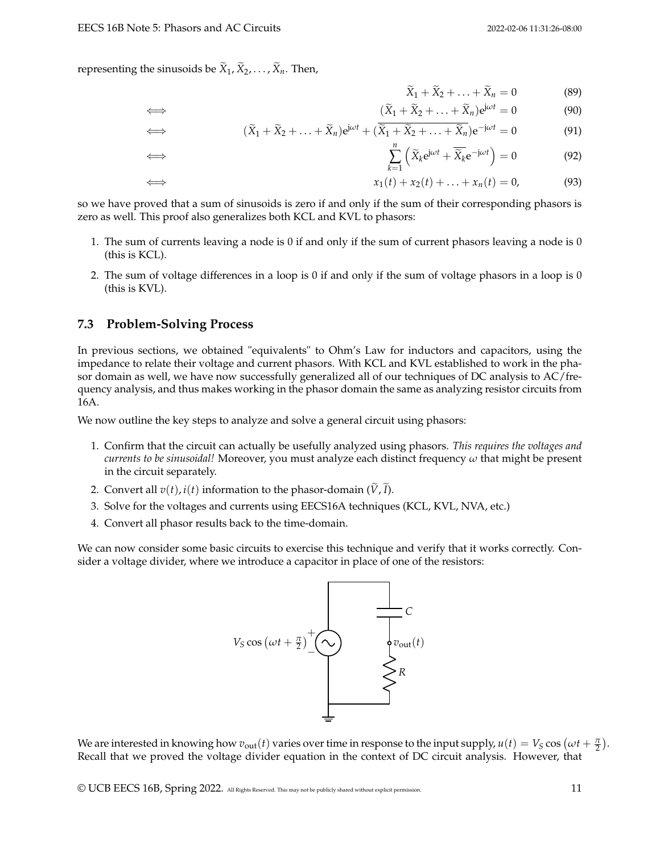representing the sinusoids be  $\widetilde{X}_1, \widetilde{X}_2, \ldots, \widetilde{X}_n$ . Then,

$$
\widetilde{X}_1 + \widetilde{X}_2 + \ldots + \widetilde{X}_n = 0 \tag{89}
$$

$$
\iff \qquad (\widetilde{X}_1 + \widetilde{X}_2 + \ldots + \widetilde{X}_n)e^{j\omega t} = 0 \tag{90}
$$

$$
\iff (\widetilde{X}_1 + \widetilde{X}_2 + \ldots + \widetilde{X}_n)e^{j\omega t} + (\overline{\widetilde{X}_1 + \widetilde{X}_2 + \ldots + \widetilde{X}_n})e^{-j\omega t} = 0 \tag{91}
$$

$$
\sum_{k=1}^{n} \left( \widetilde{X}_k e^{j\omega t} + \overline{\widetilde{X}}_k e^{-j\omega t} \right) = 0 \tag{92}
$$

$$
\iff \qquad x_1(t) + x_2(t) + \ldots + x_n(t) = 0,\tag{93}
$$

so we have proved that a sum of sinusoids is zero if and only if the sum of their corresponding phasors is zero as well. This proof also generalizes both KCL and KVL to phasors:

- 1. The sum of currents leaving a node is 0 if and only if the sum of current phasors leaving a node is 0 (this is KCL).
- 2. The sum of voltage differences in a loop is 0 if and only if the sum of voltage phasors in a loop is 0 (this is KVL).

#### **7.3 Problem-Solving Process**

⇐⇒

In previous sections, we obtained "equivalents" to Ohm's Law for inductors and capacitors, using the impedance to relate their voltage and current phasors. With KCL and KVL established to work in the phasor domain as well, we have now successfully generalized all of our techniques of DC analysis to AC/frequency analysis, and thus makes working in the phasor domain the same as analyzing resistor circuits from 16A.

We now outline the key steps to analyze and solve a general circuit using phasors:

- 1. Confirm that the circuit can actually be usefully analyzed using phasors. *This requires the voltages and currents to be sinusoidal!* Moreover, you must analyze each distinct frequency *ω* that might be present in the circuit separately.
- 2. Convert all  $v(t)$ ,  $i(t)$  information to the phasor-domain  $(\tilde{V}, \tilde{I})$ .
- 3. Solve for the voltages and currents using EECS16A techniques (KCL, KVL, NVA, etc.)
- 4. Convert all phasor results back to the time-domain.

We can now consider some basic circuits to exercise this technique and verify that it works correctly. Consider a voltage divider, where we introduce a capacitor in place of one of the resistors:

$$
V_S \cos \left(\omega t + \frac{\pi}{2}\right)^+ \left(\sqrt{\frac{1}{N}}\right)^- C
$$

We are interested in knowing how  $v_{\text{out}}(t)$  varies over time in response to the input supply,  $u(t) = V_S \cos \left(\omega t + \frac{\pi}{2}\right)$ . Recall that we proved the voltage divider equation in the context of DC circuit analysis. However, that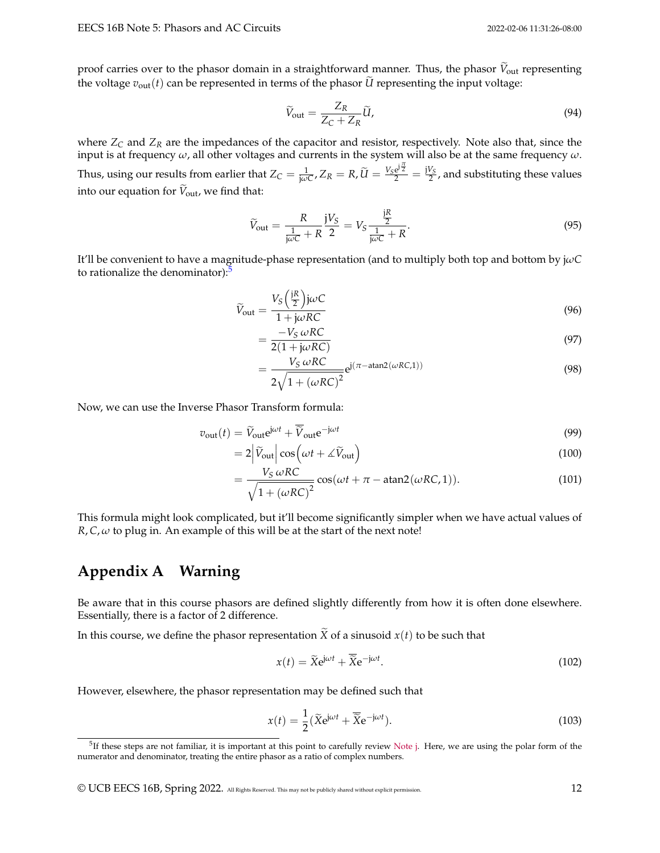proof carries over to the phasor domain in a straightforward manner. Thus, the phasor  $V_{\text{out}}$  representing the voltage  $v_{\text{out}}(t)$  can be represented in terms of the phasor *U* representing the input voltage:

$$
\widetilde{V}_{\text{out}} = \frac{Z_R}{Z_C + Z_R} \widetilde{U},\tag{94}
$$

where *Z<sup>C</sup>* and *Z<sup>R</sup>* are the impedances of the capacitor and resistor, respectively. Note also that, since the input is at frequency *ω*, all other voltages and currents in the system will also be at the same frequency *ω*. Thus, using our results from earlier that  $Z_C = \frac{1}{j\omega C}$ ,  $Z_R = R$ ,  $\tilde{U} = \frac{V_S e^{j\frac{\pi}{2}}}{2} = \frac{jV_S}{2}$ , and substituting these values into our equation for  $V_{\text{out}}$ , we find that:

$$
\widetilde{V}_{\text{out}} = \frac{R}{\frac{1}{j\omega C} + R} \frac{jV_S}{2} = V_S \frac{\frac{jR}{2}}{\frac{1}{j\omega C} + R}.
$$
\n(95)

It'll be convenient to have a magnitude-phase representation (and to multiply both top and bottom by j*ωC* to rationalize the denominator):<sup>[5](#page-11-0)</sup>

$$
\widetilde{V}_{\text{out}} = \frac{V_S \left(\frac{jR}{2}\right) \mathrm{j} \omega C}{1 + \mathrm{j} \omega RC} \tag{96}
$$

$$
=\frac{-V_S \,\omega RC}{2(1+j\omega RC)}
$$
\n(97)

$$
=\frac{V_S \omega RC}{2\sqrt{1 + (\omega RC)^2}} e^{j(\pi - \text{atan2}(\omega RC, 1))}
$$
\n(98)

Now, we can use the Inverse Phasor Transform formula:

$$
v_{\text{out}}(t) = \widetilde{V}_{\text{out}} e^{j\omega t} + \overline{\widetilde{V}}_{\text{out}} e^{-j\omega t}
$$
\n(99)

$$
=2\left|\widetilde{V}_{\text{out}}\right|\cos\left(\omega t + \measuredangle \widetilde{V}_{\text{out}}\right) \tag{100}
$$

$$
= \frac{V_S \,\omega RC}{\sqrt{1 + (\omega RC)^2}} \cos(\omega t + \pi - \text{atan2}(\omega RC, 1)).
$$
\n(101)

This formula might look complicated, but it'll become significantly simpler when we have actual values of  $R, C, \omega$  to plug in. An example of this will be at the start of the next note!

# **Appendix A Warning**

Be aware that in this course phasors are defined slightly differently from how it is often done elsewhere. Essentially, there is a factor of 2 difference.

In this course, we define the phasor representation  $\widetilde{X}$  of a sinusoid  $x(t)$  to be such that

$$
x(t) = \widetilde{X}e^{j\omega t} + \overline{\widetilde{X}}e^{-j\omega t}.
$$
\n(102)

However, elsewhere, the phasor representation may be defined such that

$$
x(t) = \frac{1}{2} (\tilde{X}e^{j\omega t} + \overline{\tilde{X}}e^{-j\omega t}).
$$
\n(103)

© UCB EECS 16B, Spring 2022. All Rights Reserved. This may not be publicly shared without explicit permission. 12

<span id="page-11-0"></span><sup>&</sup>lt;sup>5</sup>If these steps are not familiar, it is important at this point to carefully review [Note j.](https://www.eecs16b.org/notes/sp22/notej.pdf) Here, we are using the polar form of the numerator and denominator, treating the entire phasor as a ratio of complex numbers.